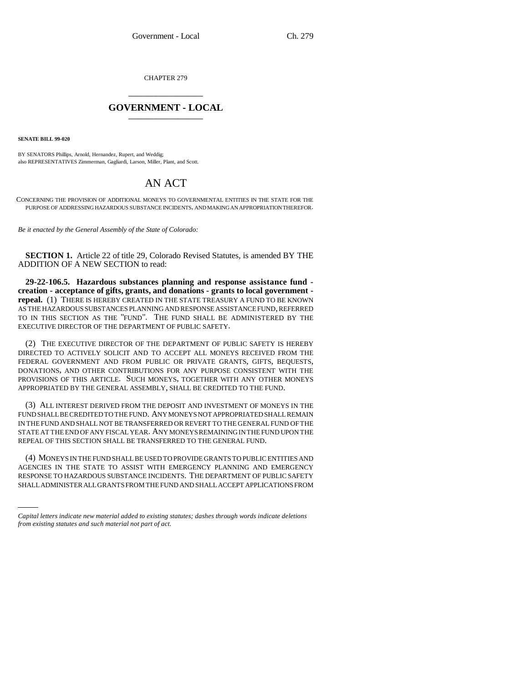CHAPTER 279

## \_\_\_\_\_\_\_\_\_\_\_\_\_\_\_ **GOVERNMENT - LOCAL** \_\_\_\_\_\_\_\_\_\_\_\_\_\_\_

**SENATE BILL 99-020**

BY SENATORS Phillips, Arnold, Hernandez, Rupert, and Weddig; also REPRESENTATIVES Zimmerman, Gagliardi, Larson, Miller, Plant, and Scott.

## AN ACT

CONCERNING THE PROVISION OF ADDITIONAL MONEYS TO GOVERNMENTAL ENTITIES IN THE STATE FOR THE PURPOSE OF ADDRESSING HAZARDOUS SUBSTANCE INCIDENTS, AND MAKING AN APPROPRIATION THEREFOR.

*Be it enacted by the General Assembly of the State of Colorado:*

**SECTION 1.** Article 22 of title 29, Colorado Revised Statutes, is amended BY THE ADDITION OF A NEW SECTION to read:

**29-22-106.5. Hazardous substances planning and response assistance fund creation - acceptance of gifts, grants, and donations - grants to local government repeal.** (1) THERE IS HEREBY CREATED IN THE STATE TREASURY A FUND TO BE KNOWN AS THE HAZARDOUS SUBSTANCES PLANNING AND RESPONSE ASSISTANCE FUND, REFERRED TO IN THIS SECTION AS THE "FUND". THE FUND SHALL BE ADMINISTERED BY THE EXECUTIVE DIRECTOR OF THE DEPARTMENT OF PUBLIC SAFETY.

(2) THE EXECUTIVE DIRECTOR OF THE DEPARTMENT OF PUBLIC SAFETY IS HEREBY DIRECTED TO ACTIVELY SOLICIT AND TO ACCEPT ALL MONEYS RECEIVED FROM THE FEDERAL GOVERNMENT AND FROM PUBLIC OR PRIVATE GRANTS, GIFTS, BEQUESTS, DONATIONS, AND OTHER CONTRIBUTIONS FOR ANY PURPOSE CONSISTENT WITH THE PROVISIONS OF THIS ARTICLE. SUCH MONEYS, TOGETHER WITH ANY OTHER MONEYS APPROPRIATED BY THE GENERAL ASSEMBLY, SHALL BE CREDITED TO THE FUND.

(3) ALL INTEREST DERIVED FROM THE DEPOSIT AND INVESTMENT OF MONEYS IN THE FUND SHALL BE CREDITED TO THE FUND. ANY MONEYS NOT APPROPRIATED SHALL REMAIN IN THE FUND AND SHALL NOT BE TRANSFERRED OR REVERT TO THE GENERAL FUND OF THE STATE AT THE END OF ANY FISCAL YEAR. ANY MONEYS REMAINING IN THE FUND UPON THE REPEAL OF THIS SECTION SHALL BE TRANSFERRED TO THE GENERAL FUND.

AGENCIES IN THE STATE TO ASSIST WITH EMERGENCY PLANNING AND EMERGENCY (4) MONEYS IN THE FUND SHALL BE USED TO PROVIDE GRANTS TO PUBLIC ENTITIES AND RESPONSE TO HAZARDOUS SUBSTANCE INCIDENTS. THE DEPARTMENT OF PUBLIC SAFETY SHALL ADMINISTER ALL GRANTS FROM THE FUND AND SHALL ACCEPT APPLICATIONS FROM

*Capital letters indicate new material added to existing statutes; dashes through words indicate deletions from existing statutes and such material not part of act.*